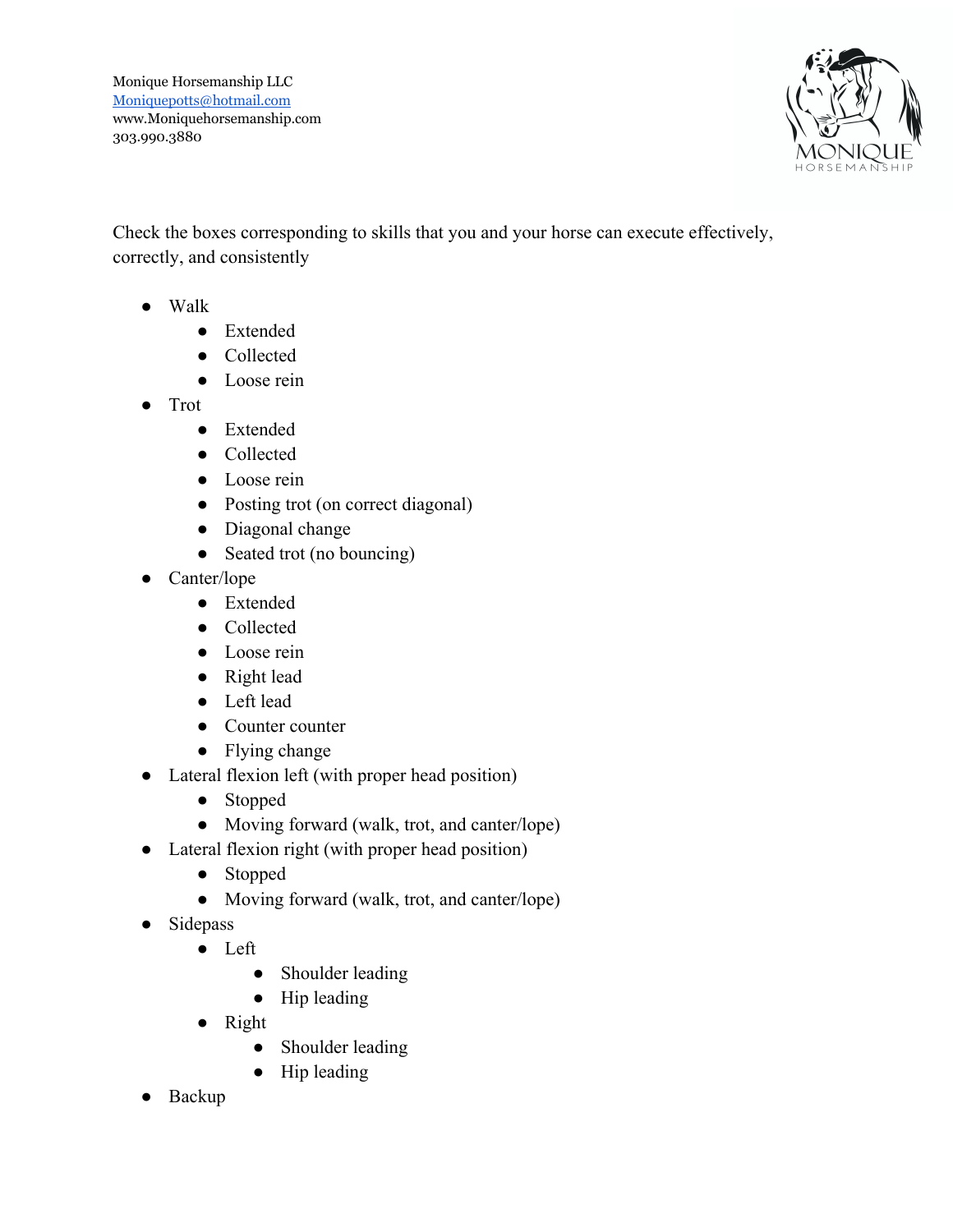

Check the boxes corresponding to skills that you and your horse can execute effectively, correctly, and consistently

- Walk
	- Extended
	- Collected
	- Loose rein
- Trot
	- Extended
	- Collected
	- Loose rein
	- Posting trot (on correct diagonal)
	- Diagonal change
	- Seated trot (no bouncing)
- Canter/lope
	- Extended
	- Collected
	- Loose rein
	- Right lead
	- Left lead
	- Counter counter
	- Flying change
- Lateral flexion left (with proper head position)
	- Stopped
	- Moving forward (walk, trot, and canter/lope)
- Lateral flexion right (with proper head position)
	- Stopped
	- Moving forward (walk, trot, and canter/lope)
- Sidepass
	- Left
		- Shoulder leading
		- Hip leading
	- Right
		- Shoulder leading
		- Hip leading
- Backup